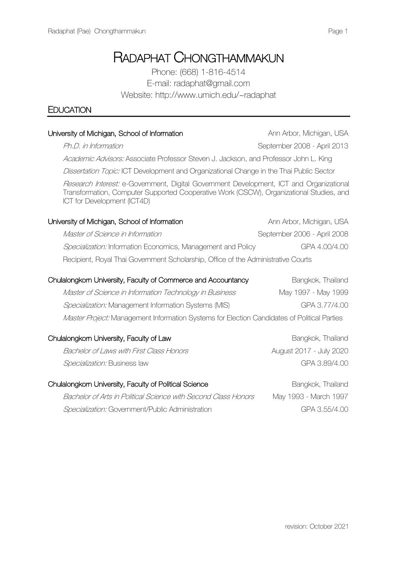# RADAPHAT CHONGTHAMMAKUN

Phone: (668) 1-816-4514 E-mail: radaphat@gmail.com Website: http://www.umich.edu/~radaphat

University of Michigan, School of Information Ann Arbor, Michigan, USA

# **EDUCATION**

| Ph.D. in Information                                                                                                                                                                                              | September 2008 - April 2013 |
|-------------------------------------------------------------------------------------------------------------------------------------------------------------------------------------------------------------------|-----------------------------|
| Academic Advisors: Associate Professor Steven J. Jackson, and Professor John L. King                                                                                                                              |                             |
| Dissertation Topic: ICT Development and Organizational Change in the Thai Public Sector                                                                                                                           |                             |
| Research Interest: e-Government, Digital Government Development, ICT and Organizational<br>Transformation, Computer Supported Cooperative Work (CSCW), Organizational Studies, and<br>ICT for Development (ICT4D) |                             |
| University of Michigan, School of Information                                                                                                                                                                     | Ann Arbor, Michigan, USA    |
| Master of Science in Information                                                                                                                                                                                  | September 2006 - April 2008 |
| Specialization: Information Economics, Management and Policy                                                                                                                                                      | GPA 4.00/4.00               |
| Recipient, Royal Thai Government Scholarship, Office of the Administrative Courts                                                                                                                                 |                             |
| Chulalongkom University, Faculty of Commerce and Accountancy                                                                                                                                                      | Bangkok, Thailand           |
| Master of Science in Information Technology in Business                                                                                                                                                           | May 1997 - May 1999         |
| Specialization: Management Information Systems (MIS)                                                                                                                                                              | GPA 3.77/4.00               |
| <i>Master Project:</i> Management Information Systems for Election Candidates of Political Parties                                                                                                                |                             |
| Chulalongkom University, Faculty of Law                                                                                                                                                                           | Bangkok, Thailand           |
| Bachelor of Laws with First Class Honors                                                                                                                                                                          | August 2017 - July 2020     |
| Specialization: Business law                                                                                                                                                                                      | GPA 3.89/4.00               |
| Chulalongkom University, Faculty of Political Science                                                                                                                                                             | Bangkok, Thailand           |

Bachelor of Arts in Political Science with Second Class Honors May 1993 - March 1997 Specialization: Government/Public Administration GPA 3.55/4.00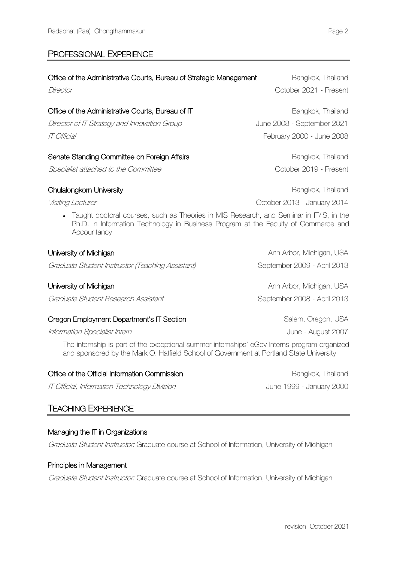# PROFESSIONAL EXPERIENCE

| Office of the Administrative Courts, Bureau of Strategic Management<br>Director                                                                                                              | Bangkok, Thailand<br>October 2021 - Present             |
|----------------------------------------------------------------------------------------------------------------------------------------------------------------------------------------------|---------------------------------------------------------|
| Office of the Administrative Courts, Bureau of IT                                                                                                                                            | Bangkok, Thailand                                       |
| Director of IT Strategy and Innovation Group<br>IT Official                                                                                                                                  | June 2008 - September 2021<br>February 2000 - June 2008 |
| Senate Standing Committee on Foreign Affairs                                                                                                                                                 | Bangkok, Thailand                                       |
| Specialist attached to the Committee                                                                                                                                                         | October 2019 - Present                                  |
| Chulalongkorn University                                                                                                                                                                     | Bangkok, Thailand                                       |
| Visiting Lecturer                                                                                                                                                                            | October 2013 - January 2014                             |
| Taught doctoral courses, such as Theories in MIS Research, and Seminar in IT/IS, in the<br>Ph.D. in Information Technology in Business Program at the Faculty of Commerce and<br>Accountancy |                                                         |
| University of Michigan                                                                                                                                                                       | Ann Arbor, Michigan, USA                                |
| Graduate Student Instructor (Teaching Assistant)                                                                                                                                             | September 2009 - April 2013                             |
| University of Michigan                                                                                                                                                                       | Ann Arbor, Michigan, USA                                |
| Graduate Student Research Assistant                                                                                                                                                          | September 2008 - April 2013                             |

# Oregon Employment Department's IT Section Salem, Oregon, USA

Information Specialist Intern June - August 2007

The internship is part of the exceptional summer internships' eGov Interns program organized and sponsored by the Mark O. Hatfield School of Government at Portland State University

# Office of the Official Information Commission **Bangkok**, Thailand

IT Official, Information Technology Division June 1999 - January 2000

# TEACHING EXPERIENCE

# Managing the IT in Organizations

Graduate Student Instructor: Graduate course at School of Information, University of Michigan

# Principles in Management

Graduate Student Instructor: Graduate course at School of Information, University of Michigan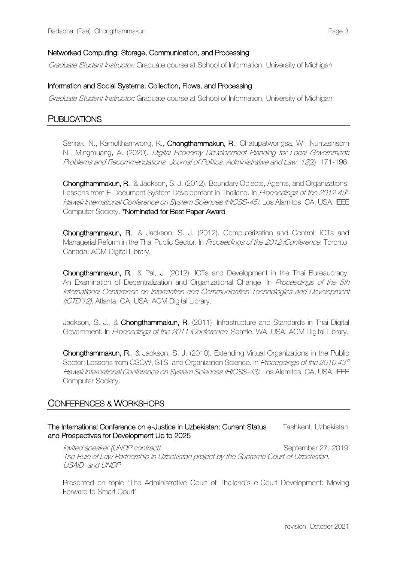Graduate Student Instructor: Graduate course at School of Information, University of Michigan

#### Information and Social Systems: Collection, Flows, and Processing

Graduate Student Instructor: Graduate course at School of Information, University of Michigan

# **PUBLICATIONS**

Serirak, N., Kamolthamwong, K., Chongthammakun, R., Chatupatwongsa, W., Nuntasirisorn N., Mingmuang, A. (2020). Digital Economy Development Planning for Local Government: Problems and Recommendations. Journal of Politics, Administrative and Law. 12(2), 171-196.

Chongthammakun, R., & Jackson, S. J. (2012). Boundary Objects, Agents, and Organizations: Lessons from E-Document System Development in Thailand. In Proceedings of the 2012 45<sup>th</sup> Hawaii International Conference on System Sciences (HICSS-45). Los Alamitos, CA, USA: IEEE Computer Society. \*Nominated for Best Paper Award

Chongthammakun, R., & Jackson, S. J. (2012). Computerization and Control: ICTs and Managerial Reform in the Thai Public Sector. In Proceedings of the 2012 iConference. Toronto, Canada: ACM Digital Library.

Chongthammakun, R., & Pal, J. (2012). ICTs and Development in the Thai Bureaucracy: An Examination of Decentralization and Organizational Change. In Proceedings of the 5th International Conference on Information and Communication Technologies and Development (ICTD'12). Atlanta, GA, USA: ACM Digital Library.

Jackson, S. J., & Chongthammakun, R. (2011). Infrastructure and Standards in Thai Digital Government. In Proceedings of the 2011 iConference. Seattle, WA, USA: ACM Digital Library.

Chongthammakun, R., & Jackson, S. J. (2010). Extending Virtual Organizations in the Public Sector: Lessons from CSCW, STS, and Organization Science. In Proceedings of the 2010 43<sup>d</sup> Hawaii International Conference on System Sciences (HICSS-43). Los Alamitos, CA, USA: IEEE Computer Society.

# CONFERENCES & WORKSHOPS

The International Conference on e-Justice in Uzbekistan: Current Status Tashkent, Uzbekistan and Prospectives for Development Up to 2025

Invited speaker (UNDP contract) September 27, 2019 The Rule of Law Partnership in Uzbekistan project by the Supreme Court of Uzbekistan, USAID, and UNDP

Presented on topic "The Administrative Court of Thailand's e-Court Development: Moving Forward to Smart Court"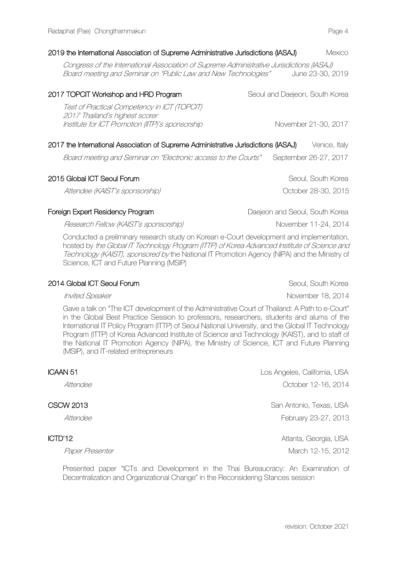| (ASAJ) 2019 the International Association of Supreme Administrative Jurisdictions (IASAJ)                                                                   |                                | Mexico                |
|-------------------------------------------------------------------------------------------------------------------------------------------------------------|--------------------------------|-----------------------|
| Congress of the International Association of Supreme Administrative Jurisdictions (IASAJ)<br>Board meeting and Seminar on "Public Law and New Technologies" |                                | June 23-30, 2019      |
| 2017 TOPCIT Workshop and HRD Program                                                                                                                        | Seoul and Daejeon, South Korea |                       |
| Test of Practical Competency in ICT (TOPCIT)<br>2017 Thailand's highest scorer<br>Institute for ICT Promotion (IITP)'s sponsorship                          |                                | November 21-30, 2017  |
| (ASA) 2017 the International Association of Supreme Administrative Jurisdictions (IASAJ)                                                                    |                                | Venice, Italy         |
| Board meeting and Seminar on "Electronic access to the Courts"                                                                                              |                                | September 26-27, 2017 |
|                                                                                                                                                             |                                |                       |

2015 Global ICT Seoul Forum and the state of the Seoul, South Korea Attendee (KAIST's sponsorship) and the control of the October 28-30, 2015

Foreign Expert Residency Program **Daejeon and Seoul, South Korea** 

Research Fellow (KAIST's sponsorship) November 11-24, 2014

Conducted a preliminary research study on Korean e-Court development and implementation, hosted by the Global IT Technology Program (ITTP) of Korea Advanced Institute of Science and Technology (KAIST), sponsored by the National IT Promotion Agency (NIPA) and the Ministry of Science, ICT and Future Planning (MSIP)

#### 2014 Global ICT Seoul Forum Seoul, South Korea Seoul, South Korea

Gave a talk on "The ICT development of the Administrative Court of Thailand: A Path to e-Court" in the Global Best Practice Session to professors, researchers, students and alums of the International IT Policy Program (ITTP) of Seoul National University, and the Global IT Technology Program (ITTP) of Korea Advanced Institute of Science and Technology (KAIST), and to staff of the National IT Promotion Agency (NIPA), the Ministry of Science, ICT and Future Planning (MSIP), and IT-related entrepreneurs

| ICAAN 51         | Los Angeles, California, USA |
|------------------|------------------------------|
| Attendee         | October 12-16, 2014          |
| <b>CSCW 2013</b> | San Antonio, Texas, USA      |
| Attendee         | February 23-27, 2013         |
| ICTD'12          | Atlanta, Georgia, USA        |
| Paper Presenter  | March 12-15, 2012            |

Presented paper "ICTs and Development in the Thai Bureaucracy: An Examination of Decentralization and Organizational Change" in the Reconsidering Stances session

Invited Speaker November 18, 2014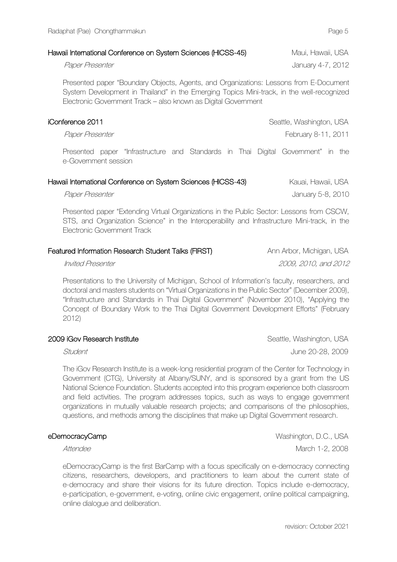### Hawaii International Conference on System Sciences (HICSS-45) Maui, Hawaii, USA

Presented paper "Boundary Objects, Agents, and Organizations: Lessons from E-Document System Development in Thailand" in the Emerging Topics Mini-track, in the well-recognized Electronic Government Track – also known as Digital Government

iConference 2011 Seattle, Washington, USA Paper Presenter February 8-11, 2011

Presented paper "Infrastructure and Standards in Thai Digital Government" in the e-Government session

| Hawaii International Conference on System Sciences (HICSS-43) | Kauai, Hawaii, USA |
|---------------------------------------------------------------|--------------------|
| Paper Presenter                                               | January 5-8, 2010  |

Presented paper "Extending Virtual Organizations in the Public Sector: Lessons from CSCW, STS, and Organization Science" in the Interoperability and Infrastructure Mini-track, in the Electronic Government Track

| Featured Information Research Student Talks (FIRST) | Ann Arbor, Michigan, USA |
|-----------------------------------------------------|--------------------------|
|                                                     |                          |

Invited Presenter 2009, 2010, and 2012

Presentations to the University of Michigan, School of Information's faculty, researchers, and doctoral and masters students on "Virtual Organizations in the Public Sector" (December 2009), "Infrastructure and Standards in Thai Digital Government" (November 2010), "Applying the Concept of Boundary Work to the Thai Digital Government Development Efforts" (February 2012)

|  | 2009 iGov Research Institute |  |  |
|--|------------------------------|--|--|
|--|------------------------------|--|--|

Student Student Automobile Controller Controller Controller Controller Controller Controller Controller Controller Controller Controller Controller Controller Controller Controller Controller Controller Controller Controll

The iGov Research Institute is a week-long residential program of the Center for Technology in Government (CTG), University at Albany/SUNY, and is sponsored by a grant from the US National Science Foundation. Students accepted into this program experience both classroom and field activities. The program addresses topics, such as ways to engage government organizations in mutually valuable research projects; and comparisons of the philosophies, questions, and methods among the disciplines that make up Digital Government research.

#### eDemocracyCamp Washington, D.C., USA

Attendee March 1-2, 2008

eDemocracyCamp is the first BarCamp with a focus specifically on e-democracy connecting citizens, researchers, developers, and practitioners to learn about the current state of e-democracy and share their visions for its future direction. Topics include e-democracy, e-participation, e-government, e-voting, online civic engagement, online political campaigning, online dialogue and deliberation.

Seattle, Washington, USA

Paper Presenter And The Secret Assembly 2012 and the United States of the United States of the United States of the United States of the United States of the United States of the United States of the United States of the U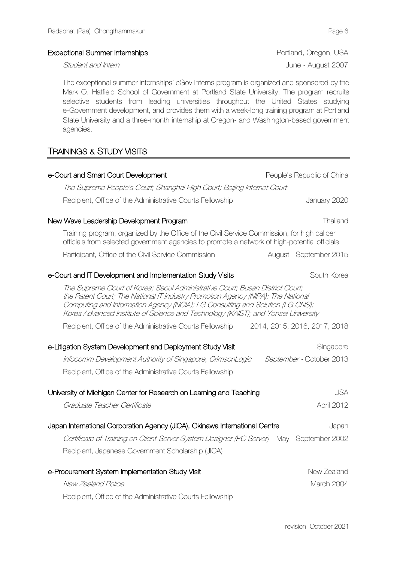### Exceptional Summer Internships **Exceptional Summer Internships** Portland, Oregon, USA

The exceptional summer internships' eGov Interns program is organized and sponsored by the Mark O. Hatfield School of Government at Portland State University. The program recruits selective students from leading universities throughout the United States studying e-Government development, and provides them with a week-long training program at Portland State University and a three-month internship at Oregon- and Washington-based government agencies.

# TRAININGS & STUDY VISITS

| e-Court and Smart Court Development                                                                                                                                                                                                                                                                                                     | People's Republic of China   |  |
|-----------------------------------------------------------------------------------------------------------------------------------------------------------------------------------------------------------------------------------------------------------------------------------------------------------------------------------------|------------------------------|--|
| The Supreme People's Court; Shanghai High Court; Beijing Internet Court                                                                                                                                                                                                                                                                 |                              |  |
| Recipient, Office of the Administrative Courts Fellowship                                                                                                                                                                                                                                                                               | January 2020                 |  |
| New Wave Leadership Development Program                                                                                                                                                                                                                                                                                                 | Thailand                     |  |
| Training program, organized by the Office of the Civil Service Commission, for high caliber<br>officials from selected government agencies to promote a network of high-potential officials                                                                                                                                             |                              |  |
| Participant, Office of the Civil Service Commission                                                                                                                                                                                                                                                                                     | August - September 2015      |  |
| e-Court and IT Development and Implementation Study Visits                                                                                                                                                                                                                                                                              | South Korea                  |  |
| The Supreme Court of Korea; Seoul Administrative Court; Busan District Court;<br>the Patent Court; The National IT Industry Promotion Agency (NIPA); The National<br>Computing and Information Agency (NCIA); LG Consulting and Solution (LG CNS);<br>Korea Advanced Institute of Science and Technology (KAIST); and Yonsei University |                              |  |
| Recipient, Office of the Administrative Courts Fellowship                                                                                                                                                                                                                                                                               | 2014, 2015, 2016, 2017, 2018 |  |
| e-Litigation System Development and Deployment Study Visit                                                                                                                                                                                                                                                                              | Singapore                    |  |
| Infocomm Development Authority of Singapore; CrimsonLogic                                                                                                                                                                                                                                                                               | September - October 2013     |  |
| Recipient, Office of the Administrative Courts Fellowship                                                                                                                                                                                                                                                                               |                              |  |
| University of Michigan Center for Research on Learning and Teaching                                                                                                                                                                                                                                                                     | <b>USA</b>                   |  |
| Graduate Teacher Certificate                                                                                                                                                                                                                                                                                                            | April 2012                   |  |
| Japan International Corporation Agency (JICA), Okinawa International Centre                                                                                                                                                                                                                                                             | Japan                        |  |
| Certificate of Training on Client-Server System Designer (PC Server) May - September 2002                                                                                                                                                                                                                                               |                              |  |
| Recipient, Japanese Government Scholarship (JICA)                                                                                                                                                                                                                                                                                       |                              |  |
| e-Procurement System Implementation Study Visit                                                                                                                                                                                                                                                                                         | New Zealand                  |  |
| New Zealand Police                                                                                                                                                                                                                                                                                                                      | March 2004                   |  |
| Recipient, Office of the Administrative Courts Fellowship                                                                                                                                                                                                                                                                               |                              |  |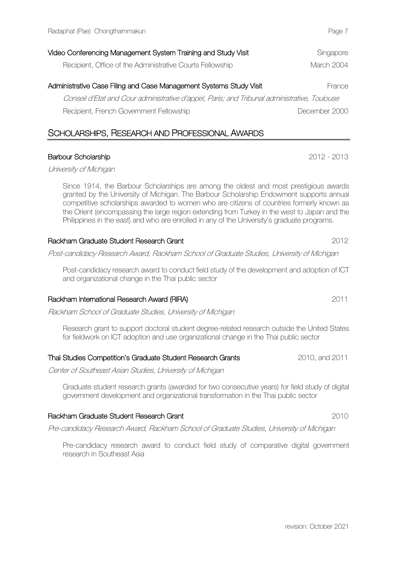| Recipient, Office of the Administrative Courts Fellowship                                    | March 2004    |
|----------------------------------------------------------------------------------------------|---------------|
| Administrative Case Filing and Case Management Systems Study Visit                           | France        |
| Conseil d'Etat and Cour administrative d'appel, Paris; and Tribunal administrative, Toulouse |               |
| Recipient, French Government Fellowship                                                      | December 2000 |

Video Conferencing Management System Training and Study Visit Singapore Singapore

# SCHOLARSHIPS, RESEARCH AND PROFESSIONAL AWARDS

# Barbour Scholarship 2012 - 2013

University of Michigan

Since 1914, the Barbour Scholarships are among the oldest and most prestigious awards granted by the University of Michigan. The Barbour Scholarship Endowment supports annual competitive scholarships awarded to women who are citizens of countries formerly known as the Orient (encompassing the large region extending from Turkey in the west to Japan and the Philippines in the east) and who are enrolled in any of the University's graduate programs.

#### Rackham Graduate Student Research Grant 2012

Post-candidacy Research Award, Rackham School of Graduate Studies, University of Michigan

Post-candidacy research award to conduct field study of the development and adoption of ICT and organizational change in the Thai public sector

#### Rackham International Research Award (RIRA) 2011

Rackham School of Graduate Studies, University of Michigan

Research grant to support doctoral student degree-related research outside the United States for fieldwork on ICT adoption and use organizational change in the Thai public sector

#### Thai Studies Competition's Graduate Student Research Grants 2010, and 2011

Center of Southeast Asian Studies, University of Michigan

Graduate student research grants (awarded for two consecutive years) for field study of digital government development and organizational transformation in the Thai public sector

#### Rackham Graduate Student Research Grant 2010

Pre-candidacy Research Award, Rackham School of Graduate Studies, University of Michigan

Pre-candidacy research award to conduct field study of comparative digital government research in Southeast Asia